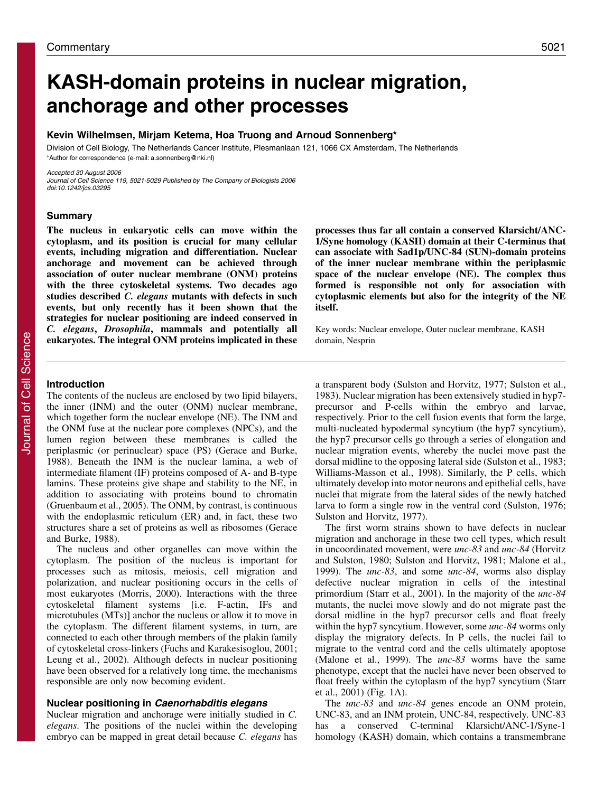# **KASH-domain proteins in nuclear migration, anchorage and other processes**

#### **Kevin Wilhelmsen, Mirjam Ketema, Hoa Truong and Arnoud Sonnenberg\***

Division of Cell Biology, The Netherlands Cancer Institute, Plesmanlaan 121, 1066 CX Amsterdam, The Netherlands \*Author for correspondence (e-mail: a.sonnenberg@nki.nl)

Accepted 30 August 2006 Journal of Cell Science 119, 5021-5029 Published by The Company of Biologists 2006

**Summary**

doi:10.1242/jcs.03295

**The nucleus in eukaryotic cells can move within the cytoplasm, and its position is crucial for many cellular events, including migration and differentiation. Nuclear anchorage and movement can be achieved through association of outer nuclear membrane (ONM) proteins with the three cytoskeletal systems. Two decades ago studies described** *C. elegans* **mutants with defects in such events, but only recently has it been shown that the strategies for nuclear positioning are indeed conserved in** *C. elegans***,** *Drosophila***, mammals and potentially all eukaryotes. The integral ONM proteins implicated in these**

**processes thus far all contain a conserved Klarsicht/ANC-1/Syne homology (KASH) domain at their C-terminus that can associate with Sad1p/UNC-84 (SUN)-domain proteins of the inner nuclear membrane within the periplasmic space of the nuclear envelope (NE). The complex thus formed is responsible not only for association with cytoplasmic elements but also for the integrity of the NE itself.**

Key words: Nuclear envelope, Outer nuclear membrane, KASH domain, Nesprin

#### **Introduction**

The contents of the nucleus are enclosed by two lipid bilayers, the inner (INM) and the outer (ONM) nuclear membrane, which together form the nuclear envelope (NE). The INM and the ONM fuse at the nuclear pore complexes (NPCs), and the lumen region between these membranes is called the periplasmic (or perinuclear) space (PS) (Gerace and Burke, 1988). Beneath the INM is the nuclear lamina, a web of intermediate filament (IF) proteins composed of A- and B-type lamins. These proteins give shape and stability to the NE, in addition to associating with proteins bound to chromatin (Gruenbaum et al., 2005). The ONM, by contrast, is continuous with the endoplasmic reticulum (ER) and, in fact, these two structures share a set of proteins as well as ribosomes (Gerace and Burke, 1988).

The nucleus and other organelles can move within the cytoplasm. The position of the nucleus is important for processes such as mitosis, meiosis, cell migration and polarization, and nuclear positioning occurs in the cells of most eukaryotes (Morris, 2000). Interactions with the three cytoskeletal filament systems [i.e. F-actin, IFs and microtubules (MTs)] anchor the nucleus or allow it to move in the cytoplasm. The different filament systems, in turn, are connected to each other through members of the plakin family of cytoskeletal cross-linkers (Fuchs and Karakesisoglou, 2001; Leung et al., 2002). Although defects in nuclear positioning have been observed for a relatively long time, the mechanisms responsible are only now becoming evident.

### **Nuclear positioning in Caenorhabditis elegans**

Nuclear migration and anchorage were initially studied in *C. elegans*. The positions of the nuclei within the developing embryo can be mapped in great detail because *C. elegans* has a transparent body (Sulston and Horvitz, 1977; Sulston et al., 1983). Nuclear migration has been extensively studied in hyp7 precursor and P-cells within the embryo and larvae, respectively. Prior to the cell fusion events that form the large, multi-nucleated hypodermal syncytium (the hyp7 syncytium), the hyp7 precursor cells go through a series of elongation and nuclear migration events, whereby the nuclei move past the dorsal midline to the opposing lateral side (Sulston et al., 1983; Williams-Masson et al., 1998). Similarly, the P cells, which ultimately develop into motor neurons and epithelial cells, have nuclei that migrate from the lateral sides of the newly hatched larva to form a single row in the ventral cord (Sulston, 1976; Sulston and Horvitz, 1977).

The first worm strains shown to have defects in nuclear migration and anchorage in these two cell types, which result in uncoordinated movement, were *unc-83* and *unc-84* (Horvitz and Sulston, 1980; Sulston and Horvitz, 1981; Malone et al., 1999). The *unc-83*, and some *unc-84*, worms also display defective nuclear migration in cells of the intestinal primordium (Starr et al., 2001). In the majority of the *unc-84* mutants, the nuclei move slowly and do not migrate past the dorsal midline in the hyp7 precursor cells and float freely within the hyp7 syncytium. However, some *unc-84* worms only display the migratory defects. In P cells, the nuclei fail to migrate to the ventral cord and the cells ultimately apoptose (Malone et al., 1999). The *unc-83* worms have the same phenotype, except that the nuclei have never been observed to float freely within the cytoplasm of the hyp7 syncytium (Starr et al., 2001) (Fig. 1A).

The *unc-83* and *unc-84* genes encode an ONM protein, UNC-83, and an INM protein, UNC-84, respectively. UNC-83 has a conserved C-terminal Klarsicht/ANC-1/Syne-1 homology (KASH) domain, which contains a transmembrane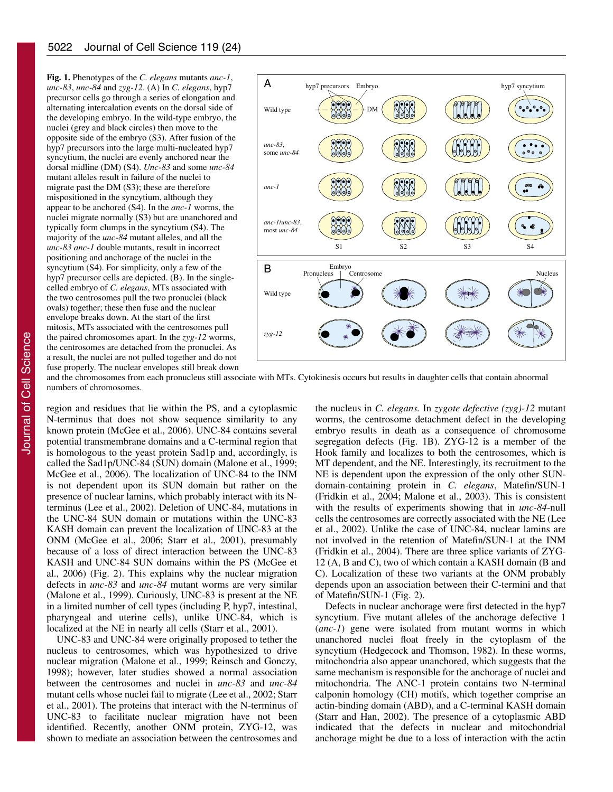**Fig. 1.** Phenotypes of the *C. elegans* mutants *anc-1*, *unc-83*, *unc-84* and *zyg-12*. (A) In *C. elegans*, hyp7 precursor cells go through a series of elongation and alternating intercalation events on the dorsal side of the developing embryo. In the wild-type embryo, the nuclei (grey and black circles) then move to the opposite side of the embryo (S3). After fusion of the hyp7 precursors into the large multi-nucleated hyp7 syncytium, the nuclei are evenly anchored near the dorsal midline (DM) (S4). *Unc-83* and some *unc-84* mutant alleles result in failure of the nuclei to migrate past the DM (S3); these are therefore mispositioned in the syncytium, although they appear to be anchored (S4). In the *anc-1* worms, the nuclei migrate normally (S3) but are unanchored and typically form clumps in the syncytium (S4). The majority of the *unc-84* mutant alleles, and all the *unc-83 anc-1* double mutants, result in incorrect positioning and anchorage of the nuclei in the syncytium (S4). For simplicity, only a few of the hyp7 precursor cells are depicted. (B). In the singlecelled embryo of *C. elegans*, MTs associated with the two centrosomes pull the two pronuclei (black ovals) together; these then fuse and the nuclear envelope breaks down. At the start of the first mitosis, MTs associated with the centrosomes pull the paired chromosomes apart. In the *zyg-12* worms, the centrosomes are detached from the pronuclei. As a result, the nuclei are not pulled together and do not fuse properly. The nuclear envelopes still break down



and the chromosomes from each pronucleus still associate with MTs. Cytokinesis occurs but results in daughter cells that contain abnormal numbers of chromosomes.

region and residues that lie within the PS, and a cytoplasmic N-terminus that does not show sequence similarity to any known protein (McGee et al., 2006). UNC-84 contains several potential transmembrane domains and a C-terminal region that is homologous to the yeast protein Sad1p and, accordingly, is called the Sad1p/UNC-84 (SUN) domain (Malone et al., 1999; McGee et al., 2006). The localization of UNC-84 to the INM is not dependent upon its SUN domain but rather on the presence of nuclear lamins, which probably interact with its Nterminus (Lee et al., 2002). Deletion of UNC-84, mutations in the UNC-84 SUN domain or mutations within the UNC-83 KASH domain can prevent the localization of UNC-83 at the ONM (McGee et al., 2006; Starr et al., 2001), presumably because of a loss of direct interaction between the UNC-83 KASH and UNC-84 SUN domains within the PS (McGee et al., 2006) (Fig. 2). This explains why the nuclear migration defects in *unc-83* and *unc-84* mutant worms are very similar (Malone et al., 1999). Curiously, UNC-83 is present at the NE in a limited number of cell types (including P, hyp7, intestinal, pharyngeal and uterine cells), unlike UNC-84, which is localized at the NE in nearly all cells (Starr et al., 2001).

UNC-83 and UNC-84 were originally proposed to tether the nucleus to centrosomes, which was hypothesized to drive nuclear migration (Malone et al., 1999; Reinsch and Gonczy, 1998); however, later studies showed a normal association between the centrosomes and nuclei in *unc-83* and *unc-84* mutant cells whose nuclei fail to migrate (Lee et al., 2002; Starr et al., 2001). The proteins that interact with the N-terminus of UNC-83 to facilitate nuclear migration have not been identified. Recently, another ONM protein, ZYG-12, was shown to mediate an association between the centrosomes and

the nucleus in *C. elegans.* In *zygote defective (zyg)-12* mutant worms, the centrosome detachment defect in the developing embryo results in death as a consequence of chromosome segregation defects (Fig. 1B). ZYG-12 is a member of the Hook family and localizes to both the centrosomes, which is MT dependent, and the NE. Interestingly, its recruitment to the NE is dependent upon the expression of the only other SUNdomain-containing protein in *C. elegans*, Matefin/SUN-1 (Fridkin et al., 2004; Malone et al., 2003). This is consistent with the results of experiments showing that in *unc-84*-null cells the centrosomes are correctly associated with the NE (Lee et al., 2002). Unlike the case of UNC-84, nuclear lamins are not involved in the retention of Matefin/SUN-1 at the INM (Fridkin et al., 2004). There are three splice variants of ZYG-12 (A, B and C), two of which contain a KASH domain (B and C). Localization of these two variants at the ONM probably depends upon an association between their C-termini and that of Matefin/SUN-1 (Fig. 2).

Defects in nuclear anchorage were first detected in the hyp7 syncytium. Five mutant alleles of the anchorage defective 1 (*anc-1*) gene were isolated from mutant worms in which unanchored nuclei float freely in the cytoplasm of the syncytium (Hedgecock and Thomson, 1982). In these worms, mitochondria also appear unanchored, which suggests that the same mechanism is responsible for the anchorage of nuclei and mitochondria. The ANC-1 protein contains two N-terminal calponin homology (CH) motifs, which together comprise an actin-binding domain (ABD), and a C-terminal KASH domain (Starr and Han, 2002). The presence of a cytoplasmic ABD indicated that the defects in nuclear and mitochondrial anchorage might be due to a loss of interaction with the actin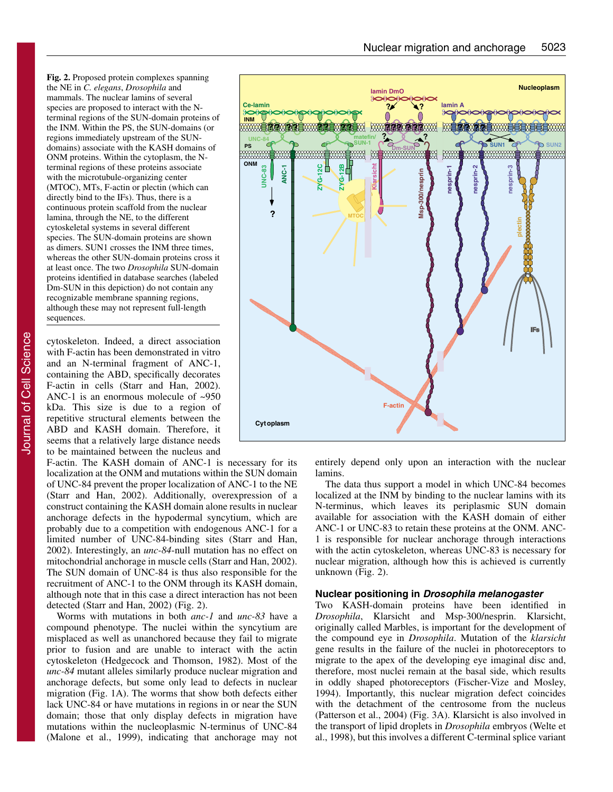**Fig. 2.** Proposed protein complexes spanning the NE in *C. elegans*, *Drosophila* and mammals. The nuclear lamins of several species are proposed to interact with the Nterminal regions of the SUN-domain proteins of the INM. Within the PS, the SUN-domains (or regions immediately upstream of the SUNdomains) associate with the KASH domains of ONM proteins. Within the cytoplasm, the Nterminal regions of these proteins associate with the microtubule-organizing center (MTOC), MTs, F-actin or plectin (which can directly bind to the IFs). Thus, there is a continuous protein scaffold from the nuclear lamina, through the NE, to the different cytoskeletal systems in several different species. The SUN-domain proteins are shown as dimers. SUN1 crosses the INM three times, whereas the other SUN-domain proteins cross it at least once. The two *Drosophila* SUN-domain proteins identified in database searches (labeled Dm-SUN in this depiction) do not contain any recognizable membrane spanning regions, although these may not represent full-length sequences.

cytoskeleton. Indeed, a direct association with F-actin has been demonstrated in vitro and an N-terminal fragment of ANC-1, containing the ABD, specifically decorates F-actin in cells (Starr and Han, 2002). ANC-1 is an enormous molecule of ~950 kDa. This size is due to a region of repetitive structural elements between the ABD and KASH domain. Therefore, it seems that a relatively large distance needs to be maintained between the nucleus and

F-actin. The KASH domain of ANC-1 is necessary for its localization at the ONM and mutations within the SUN domain of UNC-84 prevent the proper localization of ANC-1 to the NE (Starr and Han, 2002). Additionally, overexpression of a construct containing the KASH domain alone results in nuclear anchorage defects in the hypodermal syncytium, which are probably due to a competition with endogenous ANC-1 for a limited number of UNC-84-binding sites (Starr and Han, 2002). Interestingly, an *unc-84*-null mutation has no effect on mitochondrial anchorage in muscle cells (Starr and Han, 2002). The SUN domain of UNC-84 is thus also responsible for the recruitment of ANC-1 to the ONM through its KASH domain, although note that in this case a direct interaction has not been detected (Starr and Han, 2002) (Fig. 2).

Worms with mutations in both *anc-1* and *unc-83* have a compound phenotype. The nuclei within the syncytium are misplaced as well as unanchored because they fail to migrate prior to fusion and are unable to interact with the actin cytoskeleton (Hedgecock and Thomson, 1982). Most of the *unc-84* mutant alleles similarly produce nuclear migration and anchorage defects, but some only lead to defects in nuclear migration (Fig. 1A). The worms that show both defects either lack UNC-84 or have mutations in regions in or near the SUN domain; those that only display defects in migration have mutations within the nucleoplasmic N-terminus of UNC-84 (Malone et al., 1999), indicating that anchorage may not



entirely depend only upon an interaction with the nuclear lamins.

The data thus support a model in which UNC-84 becomes localized at the INM by binding to the nuclear lamins with its N-terminus, which leaves its periplasmic SUN domain available for association with the KASH domain of either ANC-1 or UNC-83 to retain these proteins at the ONM. ANC-1 is responsible for nuclear anchorage through interactions with the actin cytoskeleton, whereas UNC-83 is necessary for nuclear migration, although how this is achieved is currently unknown (Fig. 2).

#### **Nuclear positioning in Drosophila melanogaster**

Two KASH-domain proteins have been identified in *Drosophila*, Klarsicht and Msp-300/nesprin. Klarsicht, originally called Marbles, is important for the development of the compound eye in *Drosophila*. Mutation of the *klarsicht* gene results in the failure of the nuclei in photoreceptors to migrate to the apex of the developing eye imaginal disc and, therefore, most nuclei remain at the basal side, which results in oddly shaped photoreceptors (Fischer-Vize and Mosley, 1994). Importantly, this nuclear migration defect coincides with the detachment of the centrosome from the nucleus (Patterson et al., 2004) (Fig. 3A). Klarsicht is also involved in the transport of lipid droplets in *Drosophila* embryos (Welte et al., 1998), but this involves a different C-terminal splice variant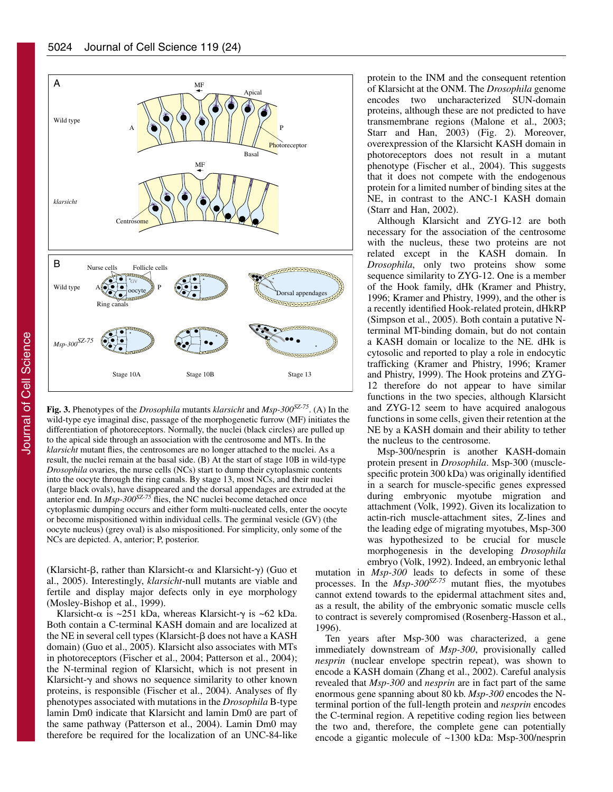

**Fig. 3.** Phenotypes of the *Drosophila* mutants *klarsicht* and *Msp-300SZ-75*. (A) In the wild-type eye imaginal disc, passage of the morphogenetic furrow (MF) initiates the differentiation of photoreceptors. Normally, the nuclei (black circles) are pulled up to the apical side through an association with the centrosome and MTs. In the *klarsicht* mutant flies, the centrosomes are no longer attached to the nuclei. As a result, the nuclei remain at the basal side. (B) At the start of stage 10B in wild-type *Drosophila* ovaries, the nurse cells (NCs) start to dump their cytoplasmic contents into the oocyte through the ring canals. By stage 13, most NCs, and their nuclei (large black ovals), have disappeared and the dorsal appendages are extruded at the anterior end. In *Msp-300SZ-75* flies, the NC nuclei become detached once cytoplasmic dumping occurs and either form multi-nucleated cells, enter the oocyte or become mispositioned within individual cells. The germinal vesicle (GV) (the oocyte nucleus) (grey oval) is also mispositioned. For simplicity, only some of the NCs are depicted. A, anterior; P, posterior.

(Klarsicht- $\beta$ , rather than Klarsicht- $\alpha$  and Klarsicht- $\gamma$ ) (Guo et al., 2005). Interestingly, *klarsicht*-null mutants are viable and fertile and display major defects only in eye morphology (Mosley-Bishop et al., 1999).

Klarsicht- $\alpha$  is ~251 kDa, whereas Klarsicht- $\gamma$  is ~62 kDa. Both contain a C-terminal KASH domain and are localized at the NE in several cell types (Klarsicht-β does not have a KASH domain) (Guo et al., 2005). Klarsicht also associates with MTs in photoreceptors (Fischer et al., 2004; Patterson et al., 2004); the N-terminal region of Klarsicht, which is not present in Klarsicht- $\gamma$  and shows no sequence similarity to other known proteins, is responsible (Fischer et al., 2004). Analyses of fly phenotypes associated with mutations in the *Drosophila* B-type lamin Dm0 indicate that Klarsicht and lamin Dm0 are part of the same pathway (Patterson et al., 2004). Lamin Dm0 may therefore be required for the localization of an UNC-84-like

protein to the INM and the consequent retention of Klarsicht at the ONM. The *Drosophila* genome encodes two uncharacterized SUN-domain proteins, although these are not predicted to have transmembrane regions (Malone et al., 2003; Starr and Han, 2003) (Fig. 2). Moreover, overexpression of the Klarsicht KASH domain in photoreceptors does not result in a mutant phenotype (Fischer et al., 2004). This suggests that it does not compete with the endogenous protein for a limited number of binding sites at the NE, in contrast to the ANC-1 KASH domain (Starr and Han, 2002).

Although Klarsicht and ZYG-12 are both necessary for the association of the centrosome with the nucleus, these two proteins are not related except in the KASH domain. In *Drosophila*, only two proteins show some sequence similarity to ZYG-12. One is a member of the Hook family, dHk (Kramer and Phistry, 1996; Kramer and Phistry, 1999), and the other is a recently identified Hook-related protein, dHkRP (Simpson et al., 2005). Both contain a putative Nterminal MT-binding domain, but do not contain a KASH domain or localize to the NE. dHk is cytosolic and reported to play a role in endocytic trafficking (Kramer and Phistry, 1996; Kramer and Phistry, 1999). The Hook proteins and ZYG-12 therefore do not appear to have similar functions in the two species, although Klarsicht and ZYG-12 seem to have acquired analogous functions in some cells, given their retention at the NE by a KASH domain and their ability to tether the nucleus to the centrosome.

Msp-300/nesprin is another KASH-domain protein present in *Drosophila*. Msp-300 (musclespecific protein 300 kDa) was originally identified in a search for muscle-specific genes expressed during embryonic myotube migration and attachment (Volk, 1992). Given its localization to actin-rich muscle-attachment sites, Z-lines and the leading edge of migrating myotubes, Msp-300 was hypothesized to be crucial for muscle morphogenesis in the developing *Drosophila* embryo (Volk, 1992). Indeed, an embryonic lethal

mutation in *Msp-300* leads to defects in some of these processes. In the *Msp-300SZ-75* mutant flies, the myotubes cannot extend towards to the epidermal attachment sites and, as a result, the ability of the embryonic somatic muscle cells to contract is severely compromised (Rosenberg-Hasson et al., 1996).

Ten years after Msp-300 was characterized, a gene immediately downstream of *Msp-300*, provisionally called *nesprin* (nuclear envelope spectrin repeat), was shown to encode a KASH domain (Zhang et al., 2002). Careful analysis revealed that *Msp-300* and *nesprin* are in fact part of the same enormous gene spanning about 80 kb. *Msp-300* encodes the Nterminal portion of the full-length protein and *nesprin* encodes the C-terminal region. A repetitive coding region lies between the two and, therefore, the complete gene can potentially encode a gigantic molecule of ~1300 kDa: Msp-300/nesprin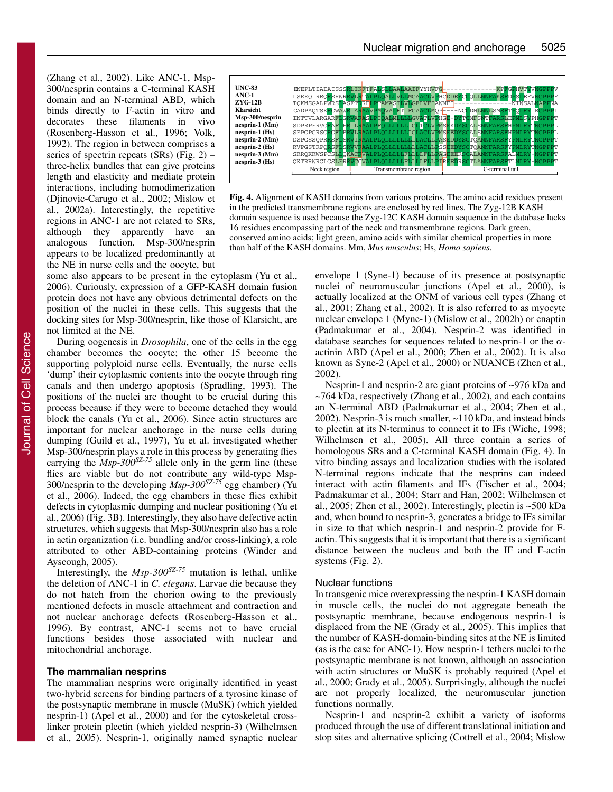(Zhang et al., 2002). Like ANC-1, Msp-300/nesprin contains a C-terminal KASH domain and an N-terminal ABD, which binds directly to F-actin in vitro and decorates these filaments in vivo (Rosenberg-Hasson et al., 1996; Volk, 1992). The region in between comprises a series of spectrin repeats  $(SRs)$  (Fig. 2) – three-helix bundles that can give proteins length and elasticity and mediate protein interactions, including homodimerization (Djinovic-Carugo et al., 2002; Mislow et al., 2002a). Interestingly, the repetitive regions in ANC-1 are not related to SRs, although they apparently have an analogous function. Msp-300/nesprin appears to be localized predominantly at the NE in nurse cells and the oocyte, but



**Fig. 4.** Alignment of KASH domains from various proteins. The amino acid residues present in the predicted transmembrane regions are enclosed by red lines. The Zyg-12B KASH domain sequence is used because the Zyg-12C KASH domain sequence in the database lacks 16 residues encompassing part of the neck and transmembrane regions. Dark green, conserved amino acids; light green, amino acids with similar chemical properties in more than half of the KASH domains. Mm, *Mus musculus*; Hs, *Homo sapiens*.

some also appears to be present in the cytoplasm (Yu et al., 2006). Curiously, expression of a GFP-KASH domain fusion protein does not have any obvious detrimental defects on the position of the nuclei in these cells. This suggests that the docking sites for Msp-300/nesprin, like those of Klarsicht, are not limited at the NE.

During oogenesis in *Drosophila*, one of the cells in the egg chamber becomes the oocyte; the other 15 become the supporting polyploid nurse cells. Eventually, the nurse cells 'dump' their cytoplasmic contents into the oocyte through ring canals and then undergo apoptosis (Spradling, 1993). The positions of the nuclei are thought to be crucial during this process because if they were to become detached they would block the canals (Yu et al., 2006). Since actin structures are important for nuclear anchorage in the nurse cells during dumping (Guild et al., 1997), Yu et al. investigated whether Msp-300/nesprin plays a role in this process by generating flies carrying the  $Msp-300^{5Z-75}$  allele only in the germ line (these flies are viable but do not contribute any wild-type Msp-300/nesprin to the developing *Msp-300SZ-75* egg chamber) (Yu et al., 2006). Indeed, the egg chambers in these flies exhibit defects in cytoplasmic dumping and nuclear positioning (Yu et al., 2006) (Fig. 3B). Interestingly, they also have defective actin structures, which suggests that Msp-300/nesprin also has a role in actin organization (i.e. bundling and/or cross-linking), a role attributed to other ABD-containing proteins (Winder and Ayscough, 2005).

Interestingly, the *Msp-300SZ-75* mutation is lethal, unlike the deletion of ANC-1 in *C. elegans*. Larvae die because they do not hatch from the chorion owing to the previously mentioned defects in muscle attachment and contraction and not nuclear anchorage defects (Rosenberg-Hasson et al., 1996). By contrast, ANC-1 seems not to have crucial functions besides those associated with nuclear and mitochondrial anchorage.

# **The mammalian nesprins**

The mammalian nesprins were originally identified in yeast two-hybrid screens for binding partners of a tyrosine kinase of the postsynaptic membrane in muscle (MuSK) (which yielded nesprin-1) (Apel et al., 2000) and for the cytoskeletal crosslinker protein plectin (which yielded nesprin-3) (Wilhelmsen et al., 2005). Nesprin-1, originally named synaptic nuclear envelope 1 (Syne-1) because of its presence at postsynaptic nuclei of neuromuscular junctions (Apel et al., 2000), is actually localized at the ONM of various cell types (Zhang et al., 2001; Zhang et al., 2002). It is also referred to as myocyte nuclear envelope 1 (Myne-1) (Mislow et al., 2002b) or enaptin (Padmakumar et al., 2004). Nesprin-2 was identified in database searches for sequences related to nesprin-1 or the  $\alpha$ actinin ABD (Apel et al., 2000; Zhen et al., 2002). It is also known as Syne-2 (Apel et al., 2000) or NUANCE (Zhen et al., 2002).

Nesprin-1 and nesprin-2 are giant proteins of ~976 kDa and ~764 kDa, respectively (Zhang et al., 2002), and each contains an N-terminal ABD (Padmakumar et al., 2004; Zhen et al., 2002). Nesprin-3 is much smaller, ~110 kDa, and instead binds to plectin at its N-terminus to connect it to IFs (Wiche, 1998; Wilhelmsen et al., 2005). All three contain a series of homologous SRs and a C-terminal KASH domain (Fig. 4). In vitro binding assays and localization studies with the isolated N-terminal regions indicate that the nesprins can indeed interact with actin filaments and IFs (Fischer et al., 2004; Padmakumar et al., 2004; Starr and Han, 2002; Wilhelmsen et al., 2005; Zhen et al., 2002). Interestingly, plectin is ~500 kDa and, when bound to nesprin-3, generates a bridge to IFs similar in size to that which nesprin-1 and nesprin-2 provide for Factin. This suggests that it is important that there is a significant distance between the nucleus and both the IF and F-actin systems (Fig. 2).

#### Nuclear functions

In transgenic mice overexpressing the nesprin-1 KASH domain in muscle cells, the nuclei do not aggregate beneath the postsynaptic membrane, because endogenous nesprin-1 is displaced from the NE (Grady et al., 2005). This implies that the number of KASH-domain-binding sites at the NE is limited (as is the case for ANC-1). How nesprin-1 tethers nuclei to the postsynaptic membrane is not known, although an association with actin structures or MuSK is probably required (Apel et al., 2000; Grady et al., 2005). Surprisingly, although the nuclei are not properly localized, the neuromuscular junction functions normally.

Nesprin-1 and nesprin-2 exhibit a variety of isoforms produced through the use of different translational initiation and stop sites and alternative splicing (Cottrell et al., 2004; Mislow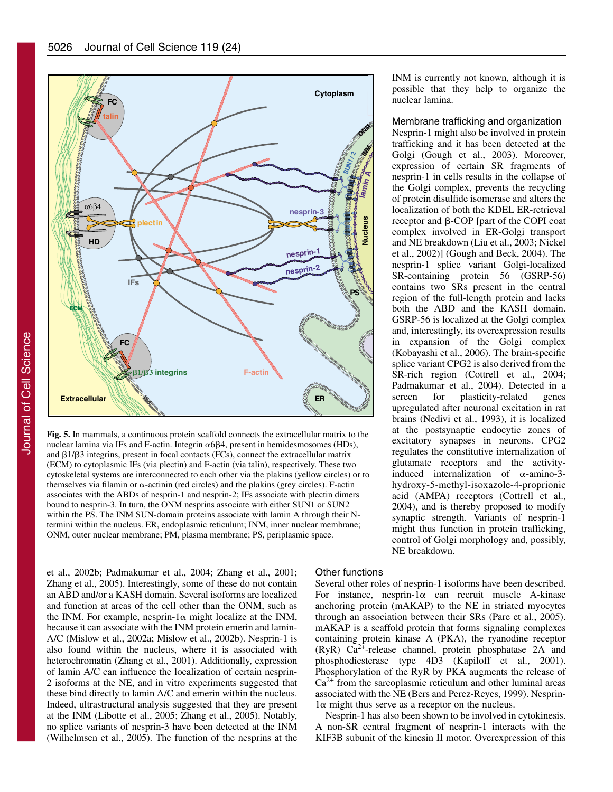

**Fig. 5.** In mammals, a continuous protein scaffold connects the extracellular matrix to the nuclear lamina via IFs and F-actin. Integrin  $\alpha$ 6 $\beta$ 4, present in hemidesmosomes (HDs), and  $\beta$ 1/ $\beta$ 3 integrins, present in focal contacts (FCs), connect the extracellular matrix (ECM) to cytoplasmic IFs (via plectin) and F-actin (via talin), respectively. These two cytoskeletal systems are interconnected to each other via the plakins (yellow circles) or to themselves via filamin or  $\alpha$ -actinin (red circles) and the plakins (grey circles). F-actin associates with the ABDs of nesprin-1 and nesprin-2; IFs associate with plectin dimers bound to nesprin-3. In turn, the ONM nesprins associate with either SUN1 or SUN2 within the PS. The INM SUN-domain proteins associate with lamin A through their Ntermini within the nucleus. ER, endoplasmic reticulum; INM, inner nuclear membrane; ONM, outer nuclear membrane; PM, plasma membrane; PS, periplasmic space.

et al., 2002b; Padmakumar et al., 2004; Zhang et al., 2001; Zhang et al., 2005). Interestingly, some of these do not contain an ABD and/or a KASH domain. Several isoforms are localized and function at areas of the cell other than the ONM, such as the INM. For example, nesprin-1 $\alpha$  might localize at the INM, because it can associate with the INM protein emerin and lamin-A/C (Mislow et al., 2002a; Mislow et al., 2002b). Nesprin-1 is also found within the nucleus, where it is associated with heterochromatin (Zhang et al., 2001). Additionally, expression of lamin A/C can influence the localization of certain nesprin-2 isoforms at the NE, and in vitro experiments suggested that these bind directly to lamin A/C and emerin within the nucleus. Indeed, ultrastructural analysis suggested that they are present at the INM (Libotte et al., 2005; Zhang et al., 2005). Notably, no splice variants of nesprin-3 have been detected at the INM (Wilhelmsen et al., 2005). The function of the nesprins at the

#### Other functions

Several other roles of nesprin-1 isoforms have been described. For instance, nesprin-1 $\alpha$  can recruit muscle A-kinase anchoring protein (mAKAP) to the NE in striated myocytes through an association between their SRs (Pare et al., 2005). mAKAP is a scaffold protein that forms signaling complexes containing protein kinase A (PKA), the ryanodine receptor (RyR) Ca2+-release channel, protein phosphatase 2A and phosphodiesterase type 4D3 (Kapiloff et al., 2001). Phosphorylation of the RyR by PKA augments the release of  $Ca<sup>2+</sup>$  from the sarcoplasmic reticulum and other luminal areas associated with the NE (Bers and Perez-Reyes, 1999). Nesprin- $1\alpha$  might thus serve as a receptor on the nucleus.

Nesprin-1 has also been shown to be involved in cytokinesis. A non-SR central fragment of nesprin-1 interacts with the KIF3B subunit of the kinesin II motor. Overexpression of this

INM is currently not known, although it is possible that they help to organize the nuclear lamina.

Membrane trafficking and organization Nesprin-1 might also be involved in protein trafficking and it has been detected at the Golgi (Gough et al., 2003). Moreover, expression of certain SR fragments of nesprin-1 in cells results in the collapse of the Golgi complex, prevents the recycling of protein disulfide isomerase and alters the localization of both the KDEL ER-retrieval  $r$ eceptor and  $\beta$ -COP [part of the COPI coat complex involved in ER-Golgi transport and NE breakdown (Liu et al., 2003; Nickel et al., 2002)] (Gough and Beck, 2004). The nesprin-1 splice variant Golgi-localized SR-containing protein 56 (GSRP-56) contains two SRs present in the central region of the full-length protein and lacks both the ABD and the KASH domain. GSRP-56 is localized at the Golgi complex and, interestingly, its overexpression results in expansion of the Golgi complex (Kobayashi et al., 2006). The brain-specific splice variant CPG2 is also derived from the SR-rich region (Cottrell et al., 2004; Padmakumar et al., 2004). Detected in a screen for plasticity-related genes upregulated after neuronal excitation in rat brains (Nedivi et al., 1993), it is localized at the postsynaptic endocytic zones of excitatory synapses in neurons. CPG2 regulates the constitutive internalization of glutamate receptors and the activityinduced internalization of  $\alpha$ -amino-3hydroxy-5-methyl-isoxazole-4-proprionic acid (AMPA) receptors (Cottrell et al., 2004), and is thereby proposed to modify synaptic strength. Variants of nesprin-1 might thus function in protein trafficking, control of Golgi morphology and, possibly, NE breakdown.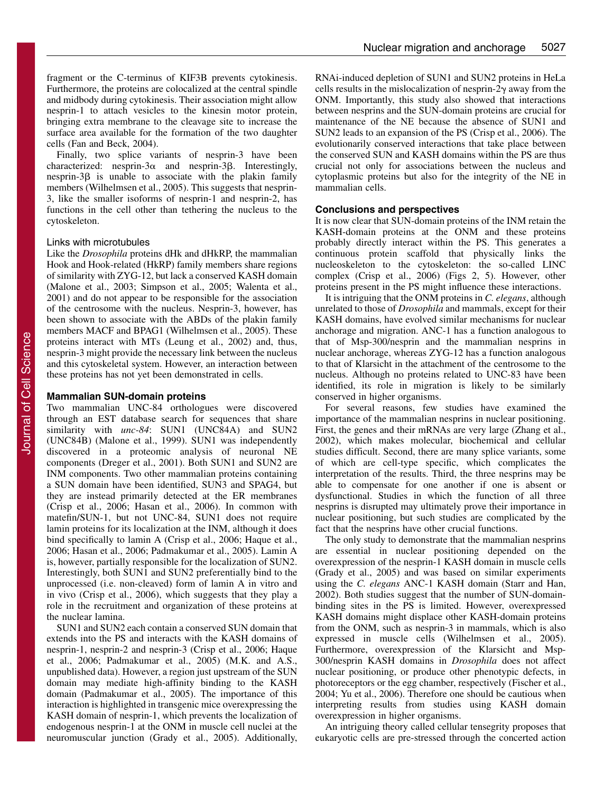fragment or the C-terminus of KIF3B prevents cytokinesis. Furthermore, the proteins are colocalized at the central spindle and midbody during cytokinesis. Their association might allow nesprin-1 to attach vesicles to the kinesin motor protein, bringing extra membrane to the cleavage site to increase the surface area available for the formation of the two daughter cells (Fan and Beck, 2004).

Finally, two splice variants of nesprin-3 have been characterized: nesprin- $3\alpha$  and nesprin- $3\beta$ . Interestingly,  $n$ esprin-3 $\beta$  is unable to associate with the plakin family members (Wilhelmsen et al., 2005). This suggests that nesprin-3, like the smaller isoforms of nesprin-1 and nesprin-2, has functions in the cell other than tethering the nucleus to the cytoskeleton.

#### Links with microtubules

Like the *Drosophila* proteins dHk and dHkRP, the mammalian Hook and Hook-related (HkRP) family members share regions of similarity with ZYG-12, but lack a conserved KASH domain (Malone et al., 2003; Simpson et al., 2005; Walenta et al., 2001) and do not appear to be responsible for the association of the centrosome with the nucleus. Nesprin-3, however, has been shown to associate with the ABDs of the plakin family members MACF and BPAG1 (Wilhelmsen et al., 2005). These proteins interact with MTs (Leung et al., 2002) and, thus, nesprin-3 might provide the necessary link between the nucleus and this cytoskeletal system. However, an interaction between these proteins has not yet been demonstrated in cells.

## **Mammalian SUN-domain proteins**

Two mammalian UNC-84 orthologues were discovered through an EST database search for sequences that share similarity with *unc-84*: SUN1 (UNC84A) and SUN2 (UNC84B) (Malone et al., 1999). SUN1 was independently discovered in a proteomic analysis of neuronal NE components (Dreger et al., 2001). Both SUN1 and SUN2 are INM components. Two other mammalian proteins containing a SUN domain have been identified, SUN3 and SPAG4, but they are instead primarily detected at the ER membranes (Crisp et al., 2006; Hasan et al., 2006). In common with matefin/SUN-1, but not UNC-84, SUN1 does not require lamin proteins for its localization at the INM, although it does bind specifically to lamin A (Crisp et al., 2006; Haque et al., 2006; Hasan et al., 2006; Padmakumar et al., 2005). Lamin A is, however, partially responsible for the localization of SUN2. Interestingly, both SUN1 and SUN2 preferentially bind to the unprocessed (i.e. non-cleaved) form of lamin A in vitro and in vivo (Crisp et al., 2006), which suggests that they play a role in the recruitment and organization of these proteins at the nuclear lamina.

SUN1 and SUN2 each contain a conserved SUN domain that extends into the PS and interacts with the KASH domains of nesprin-1, nesprin-2 and nesprin-3 (Crisp et al., 2006; Haque et al., 2006; Padmakumar et al., 2005) (M.K. and A.S., unpublished data). However, a region just upstream of the SUN domain may mediate high-affinity binding to the KASH domain (Padmakumar et al., 2005). The importance of this interaction is highlighted in transgenic mice overexpressing the KASH domain of nesprin-1, which prevents the localization of endogenous nesprin-1 at the ONM in muscle cell nuclei at the neuromuscular junction (Grady et al., 2005). Additionally,

RNAi-induced depletion of SUN1 and SUN2 proteins in HeLa cells results in the mislocalization of nesprin- $2\gamma$  away from the ONM. Importantly, this study also showed that interactions between nesprins and the SUN-domain proteins are crucial for maintenance of the NE because the absence of SUN1 and SUN2 leads to an expansion of the PS (Crisp et al., 2006). The evolutionarily conserved interactions that take place between the conserved SUN and KASH domains within the PS are thus crucial not only for associations between the nucleus and cytoplasmic proteins but also for the integrity of the NE in mammalian cells.

### **Conclusions and perspectives**

It is now clear that SUN-domain proteins of the INM retain the KASH-domain proteins at the ONM and these proteins probably directly interact within the PS. This generates a continuous protein scaffold that physically links the nucleoskeleton to the cytoskeleton: the so-called LINC complex (Crisp et al., 2006) (Figs 2, 5). However, other proteins present in the PS might influence these interactions.

It is intriguing that the ONM proteins in *C. elegans*, although unrelated to those of *Drosophila* and mammals, except for their KASH domains, have evolved similar mechanisms for nuclear anchorage and migration. ANC-1 has a function analogous to that of Msp-300/nesprin and the mammalian nesprins in nuclear anchorage, whereas ZYG-12 has a function analogous to that of Klarsicht in the attachment of the centrosome to the nucleus. Although no proteins related to UNC-83 have been identified, its role in migration is likely to be similarly conserved in higher organisms.

For several reasons, few studies have examined the importance of the mammalian nesprins in nuclear positioning. First, the genes and their mRNAs are very large (Zhang et al., 2002), which makes molecular, biochemical and cellular studies difficult. Second, there are many splice variants, some of which are cell-type specific, which complicates the interpretation of the results. Third, the three nesprins may be able to compensate for one another if one is absent or dysfunctional. Studies in which the function of all three nesprins is disrupted may ultimately prove their importance in nuclear positioning, but such studies are complicated by the fact that the nesprins have other crucial functions.

The only study to demonstrate that the mammalian nesprins are essential in nuclear positioning depended on the overexpression of the nesprin-1 KASH domain in muscle cells (Grady et al., 2005) and was based on similar experiments using the *C. elegans* ANC-1 KASH domain (Starr and Han, 2002). Both studies suggest that the number of SUN-domainbinding sites in the PS is limited. However, overexpressed KASH domains might displace other KASH-domain proteins from the ONM, such as nesprin-3 in mammals, which is also expressed in muscle cells (Wilhelmsen et al., 2005). Furthermore, overexpression of the Klarsicht and Msp-300/nesprin KASH domains in *Drosophila* does not affect nuclear positioning, or produce other phenotypic defects, in photoreceptors or the egg chamber, respectively (Fischer et al., 2004; Yu et al., 2006). Therefore one should be cautious when interpreting results from studies using KASH domain overexpression in higher organisms.

An intriguing theory called cellular tensegrity proposes that eukaryotic cells are pre-stressed through the concerted action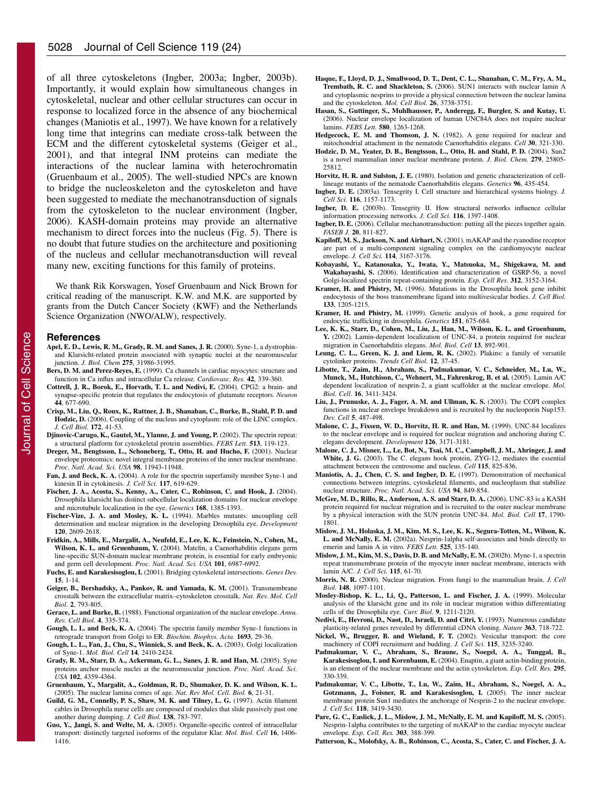of all three cytoskeletons (Ingber, 2003a; Ingber, 2003b). Importantly, it would explain how simultaneous changes in cytoskeletal, nuclear and other cellular structures can occur in response to localized force in the absence of any biochemical changes (Maniotis et al., 1997). We have known for a relatively long time that integrins can mediate cross-talk between the ECM and the different cytoskeletal systems (Geiger et al., 2001), and that integral INM proteins can mediate the interactions of the nuclear lamina with heterochromatin (Gruenbaum et al., 2005). The well-studied NPCs are known to bridge the nucleoskeleton and the cytoskeleton and have been suggested to mediate the mechanotransduction of signals from the cytoskeleton to the nuclear environment (Ingber, 2006). KASH-domain proteins may provide an alternative mechanism to direct forces into the nucleus (Fig. 5). There is no doubt that future studies on the architecture and positioning of the nucleus and cellular mechanotransduction will reveal many new, exciting functions for this family of proteins.

We thank Rik Korswagen, Yosef Gruenbaum and Nick Brown for critical reading of the manuscript. K.W. and M.K. are supported by grants from the Dutch Cancer Society (KWF) and the Netherlands Science Organization (NWO/ALW), respectively.

#### **References**

- **Apel, E. D., Lewis, R. M., Grady, R. M. and Sanes, J. R.** (2000). Syne-1, a dystrophinand Klarsicht-related protein associated with synaptic nuclei at the neuromuscular junction. *J. Biol. Chem* **275**, 31986-31995.
- **Bers, D. M. and Perez-Reyes, E.** (1999). Ca channels in cardiac myocytes: structure and function in Ca influx and intracellular Ca release. *Cardiovasc. Res.* **42**, 339-360.
- **Cottrell, J. R., Borok, E., Horvath, T. L. and Nedivi, E.** (2004). CPG2: a brain- and synapse-specific protein that regulates the endocytosis of glutamate receptors. *Neuron* **44**, 677-690.
- **Crisp, M., Liu, Q., Roux, K., Rattner, J. B., Shanahan, C., Burke, B., Stahl, P. D. and Hodzic, D.** (2006). Coupling of the nucleus and cytoplasm: role of the LINC complex. *J. Cell Biol.* **172**, 41-53.
- **Djinovic-Carugo, K., Gautel, M., Ylanne, J. and Young, P.** (2002). The spectrin repeat: a structural platform for cytoskeletal protein assemblies. *FEBS Lett.* **513**, 119-123.
- **Dreger, M., Bengtsson, L., Schoneberg, T., Otto, H. and Hucho, F.** (2001). Nuclear envelope proteomics: novel integral membrane proteins of the inner nuclear membrane. *Proc. Natl. Acad. Sci. USA* **98**, 11943-11948.
- **Fan, J. and Beck, K. A.** (2004). A role for the spectrin superfamily member Syne-1 and kinesin II in cytokinesis. *J. Cell Sci.* **117**, 619-629.
- **Fischer, J. A., Acosta, S., Kenny, A., Cater, C., Robinson, C. and Hook, J.** (2004). Drosophila klarsicht has distinct subcellular localization domains for nuclear envelope and microtubule localization in the eye. *Genetics* **168**, 1385-1393.
- **Fischer-Vize, J. A. and Mosley, K. L.** (1994). Marbles mutants: uncoupling cell determination and nuclear migration in the developing Drosophila eye. *Development* **120**, 2609-2618.
- **Fridkin, A., Mills, E., Margalit, A., Neufeld, E., Lee, K. K., Feinstein, N., Cohen, M., Wilson, K. L. and Gruenbaum, Y.** (2004). Matefin, a Caenorhabditis elegans germ line-specific SUN-domain nuclear membrane protein, is essential for early embryonic and germ cell development. *Proc. Natl. Acad. Sci. USA* **101**, 6987-6992.
- **Fuchs, E. and Karakesisoglou, I.** (2001). Bridging cytoskeletal intersections. *Genes Dev.* **15**, 1-14.
- **Geiger, B., Bershadsky, A., Pankov, R. and Yamada, K. M.** (2001). Transmembrane crosstalk between the extracellular matrix–cytoskeleton crosstalk. *Nat. Rev. Mol. Cell Biol.* **2**, 793-805.
- **Gerace, L. and Burke, B.** (1988). Functional organization of the nuclear envelope. *Annu. Rev. Cell Biol.* **4**, 335-374.
- **Gough, L. L. and Beck, K. A.** (2004). The spectrin family member Syne-1 functions in retrograde transport from Golgi to ER. *Biochim. Biophys. Acta.* **1693**, 29-36.
- **Gough, L. L., Fan, J., Chu, S., Winnick, S. and Beck, K. A.** (2003). Golgi localization of Syne-1. *Mol. Biol. Cell* **14**, 2410-2424.
- **Grady, R. M., Starr, D. A., Ackerman, G. L., Sanes, J. R. and Han, M.** (2005). Syne proteins anchor muscle nuclei at the neuromuscular junction. *Proc. Natl. Acad. Sci. USA* **102**, 4359-4364.
- **Gruenbaum, Y., Margalit, A., Goldman, R. D., Shumaker, D. K. and Wilson, K. L.** (2005). The nuclear lamina comes of age. *Nat. Rev Mol. Cell. Biol.* **6**, 21-31.
- **Guild, G. M., Connelly, P. S., Shaw, M. K. and Tilney, L. G.** (1997). Actin filament cables in Drosophila nurse cells are composed of modules that slide passively past one another during dumping. *J. Cell Biol.* **138**, 783-797.
- **Guo, Y., Jangi, S. and Welte, M. A.** (2005). Organelle-specific control of intracellular transport: distinctly targeted isoforms of the regulator Klar. *Mol. Biol. Cell* **16**, 1406- 1416.
- **Haque, F., Lloyd, D. J., Smallwood, D. T., Dent, C. L., Shanahan, C. M., Fry, A. M., Trembath, R. C. and Shackleton, S.** (2006). SUN1 interacts with nuclear lamin A and cytoplasmic nesprins to provide a physical connection between the nuclear lamina and the cytoskeleton. *Mol. Cell Biol.* **26**, 3738-3751.
- **Hasan, S., Guttinger, S., Muhlhausser, P., Anderegg, F., Burgler, S. and Kutay, U.** (2006). Nuclear envelope localization of human UNC84A does not require nuclear lamins. *FEBS Lett.* **580**, 1263-1268.
- **Hedgecock, E. M. and Thomson, J. N.** (1982). A gene required for nuclear and mitochondrial attachment in the nematode Caenorhabditis elegans. *Cell* **30**, 321-330.
- **Hodzic, D. M., Yeater, D. B., Bengtsson, L., Otto, H. and Stahl, P. D.** (2004). Sun2 is a novel mammalian inner nuclear membrane protein. *J. Biol. Chem.* **279**, 25805- 25812
- **Horvitz, H. R. and Sulston, J. E.** (1980). Isolation and genetic characterization of celllineage mutants of the nematode Caenorhabditis elegans. *Genetics* **96**, 435-454.
- **Ingber, D. E.** (2003a). Tensegrity I. Cell structure and hierarchical systems biology. *J. Cell Sci.* **116**, 1157-1173.
- **Ingber, D. E.** (2003b). Tensegrity II. How structural networks influence cellular information processing networks. *J. Cell Sci.* **116**, 1397-1408.
- **Ingber, D. E.** (2006). Cellular mechanotransduction: putting all the pieces together again. *FASEB J.* **20**, 811-827.
- **Kapiloff, M. S., Jackson, N. and Airhart, N.** (2001). mAKAP and the ryanodine receptor are part of a multi-component signaling complex on the cardiomyocyte nuclear envelope. *J. Cell Sci.* **114**, 3167-3176.
- **Kobayashi, Y., Katanosaka, Y., Iwata, Y., Matsuoka, M., Shigekawa, M. and Wakabayashi, S.** (2006). Identification and characterization of GSRP-56, a novel Golgi-localized spectrin repeat-containing protein. *Exp. Cell Res*. **312**, 3152-3164.
- **Kramer, H. and Phistry, M.** (1996). Mutations in the Drosophila hook gene inhibit endocytosis of the boss transmembrane ligand into multivesicular bodies. *J. Cell Biol.* **133**, 1205-1215.
- **Kramer, H. and Phistry, M.** (1999). Genetic analysis of hook, a gene required for endocytic trafficking in drosophila. *Genetics* **151**, 675-684.
- **Lee, K. K., Starr, D., Cohen, M., Liu, J., Han, M., Wilson, K. L. and Gruenbaum, Y.** (2002). Lamin-dependent localization of UNC-84, a protein required for nuclear migration in Caenorhabditis elegans. *Mol. Biol. Cell* **13**, 892-901.
- **Leung, C. L., Green, K. J. and Liem, R. K.** (2002). Plakins: a family of versatile cytolinker proteins. *Trends Cell Biol.* **12**, 37-45.
- **Libotte, T., Zaim, H., Abraham, S., Padmakumar, V. C., Schneider, M., Lu, W., Munck, M., Hutchison, C., Wehnert, M., Fahrenkrog, B. et al.** (2005). Lamin A/C dependent localization of nesprin-2, a giant scaffolder at the nuclear envelope. *Mol. Biol. Cell*. **16**, 3411-3424.
- **Liu, J., Prunuske, A. J., Fager, A. M. and Ullman, K. S.** (2003). The COPI complex functions in nuclear envelope breakdown and is recruited by the nucleoporin Nup153. *Dev. Cell* **5**, 487-498.
- **Malone, C. J., Fixsen, W. D., Horvitz, H. R. and Han, M.** (1999). UNC-84 localizes to the nuclear envelope and is required for nuclear migration and anchoring during C. elegans development. *Development* **126**, 3171-3181.
- **Malone, C. J., Misner, L., Le, Bot, N., Tsai, M. C., Campbell, J. M., Ahringer, J. and White, J. G.** (2003). The C. elegans hook protein, ZYG-12, mediates the essential attachment between the centrosome and nucleus. *Cell* **115**, 825-836.
- **Maniotis, A. J., Chen, C. S. and Ingber, D. E.** (1997). Demonstration of mechanical connections between integrins, cytoskeletal filaments, and nucleoplasm that stabilize nuclear structure. *Proc. Natl. Acad. Sci. USA* **94**, 849-854.
- **McGee, M. D., Rillo, R., Anderson, A. S. and Starr, D. A.** (2006). UNC-83 is a KASH protein required for nuclear migration and is recruited to the outer nuclear membrane by a physical interaction with the SUN protein UNC-84. *Mol. Biol. Cell* **17**, 1790- 1801.
- **Mislow, J. M., Holaska, J. M., Kim, M. S., Lee, K. K., Segura-Totten, M., Wilson, K. L. and McNally, E. M.** (2002a). Nesprin-1alpha self-associates and binds directly to emerin and lamin A in vitro. *FEBS Lett.* **525**, 135-140.
- **Mislow, J. M., Kim, M. S., Davis, D. B. and McNally, E. M.** (2002b). Myne-1, a spectrin repeat transmembrane protein of the myocyte inner nuclear membrane, interacts with lamin A/C. *J. Cell Sci.* **115**, 61-70.
- **Morris, N. R.** (2000). Nuclear migration. From fungi to the mammalian brain. *J. Cell Biol.* **148**, 1097-1101.
- **Mosley-Bishop, K. L., Li, Q., Patterson, L. and Fischer, J. A.** (1999). Molecular analysis of the klarsicht gene and its role in nuclear migration within differentiating cells of the Drosophila eye. *Curr. Biol.* **9**, 1211-2120.
- **Nedivi, E., Hevroni, D., Naot, D., Israeli, D. and Citri, Y.** (1993). Numerous candidate plasticity-related genes revealed by differential cDNA cloning. *Nature* **363**, 718-722.
- **Nickel, W., Brugger, B. and Wieland, F. T.** (2002). Vesicular transport: the core machinery of COPI recruitment and budding. *J. Cell Sci.* **115**, 3235-3240.
- **Padmakumar, V. C., Abraham, S., Braune, S., Noegel, A. A., Tunggal, B., Karakesisoglou, I. and Korenbaum, E.** (2004). Enaptin, a giant actin-binding protein, is an element of the nuclear membrane and the actin cytoskeleton. *Exp. Cell. Res.* **295**, 330-339.
- **Padmakumar, V. C., Libotte, T., Lu, W., Zaim, H., Abraham, S., Noegel, A. A., Gotzmann, J., Foisner, R. and Karakesisoglou, I.** (2005). The inner nuclear membrane protein Sun1 mediates the anchorage of Nesprin-2 to the nuclear envelope. *J. Cell Sci.* **118**, 3419-3430.
- **Pare, G. C., Easlick, J. L., Mislow, J. M., McNally, E. M. and Kapiloff, M. S.** (2005). Nesprin-1alpha contributes to the targeting of mAKAP to the cardiac myocyte nuclear envelope. *Exp. Cell. Res.* **303**, 388-399.
- **Patterson, K., Molofsky, A. B., Robinson, C., Acosta, S., Cater, C. and Fischer, J. A.**